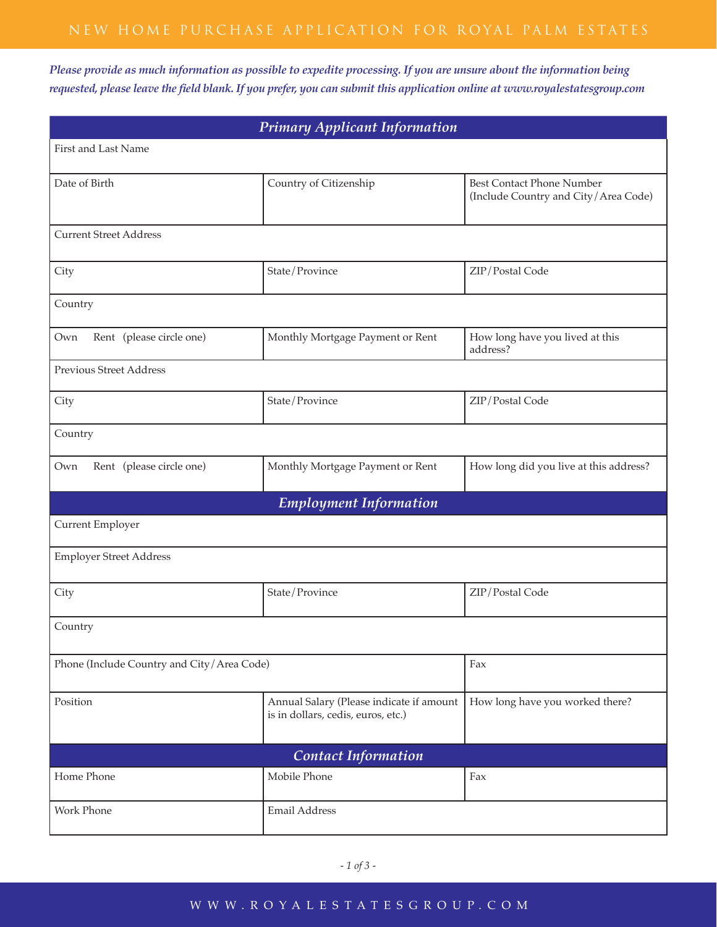*Please provide as much information as possible to expedite processing. If you are unsure about the information being requested, please leave the field blank. If you prefer, you can submit this application online at www.royalestatesgroup.com*

| <b>Primary Applicant Information</b>       |                                                                                |                                                                          |  |  |
|--------------------------------------------|--------------------------------------------------------------------------------|--------------------------------------------------------------------------|--|--|
| First and Last Name                        |                                                                                |                                                                          |  |  |
| Date of Birth                              | Country of Citizenship                                                         | <b>Best Contact Phone Number</b><br>(Include Country and City/Area Code) |  |  |
| <b>Current Street Address</b>              |                                                                                |                                                                          |  |  |
| City                                       | State/Province                                                                 | ZIP/Postal Code                                                          |  |  |
| Country                                    |                                                                                |                                                                          |  |  |
| Rent (please circle one)<br>Own            | Monthly Mortgage Payment or Rent                                               | How long have you lived at this<br>address?                              |  |  |
| <b>Previous Street Address</b>             |                                                                                |                                                                          |  |  |
| City                                       | State/Province                                                                 | ZIP/Postal Code                                                          |  |  |
| Country                                    |                                                                                |                                                                          |  |  |
| Rent (please circle one)<br>Own            | Monthly Mortgage Payment or Rent                                               | How long did you live at this address?                                   |  |  |
| <b>Employment Information</b>              |                                                                                |                                                                          |  |  |
| Current Employer                           |                                                                                |                                                                          |  |  |
| <b>Employer Street Address</b>             |                                                                                |                                                                          |  |  |
| City                                       | State/Province                                                                 | ZIP/Postal Code                                                          |  |  |
| Country                                    |                                                                                |                                                                          |  |  |
| Phone (Include Country and City/Area Code) |                                                                                | Fax                                                                      |  |  |
| Position                                   | Annual Salary (Please indicate if amount<br>is in dollars, cedis, euros, etc.) | How long have you worked there?                                          |  |  |
| <b>Contact Information</b>                 |                                                                                |                                                                          |  |  |
| Home Phone                                 | Mobile Phone                                                                   | Fax                                                                      |  |  |
| Work Phone                                 | Email Address                                                                  |                                                                          |  |  |

## www . ro y ales t a t es g ro u p . com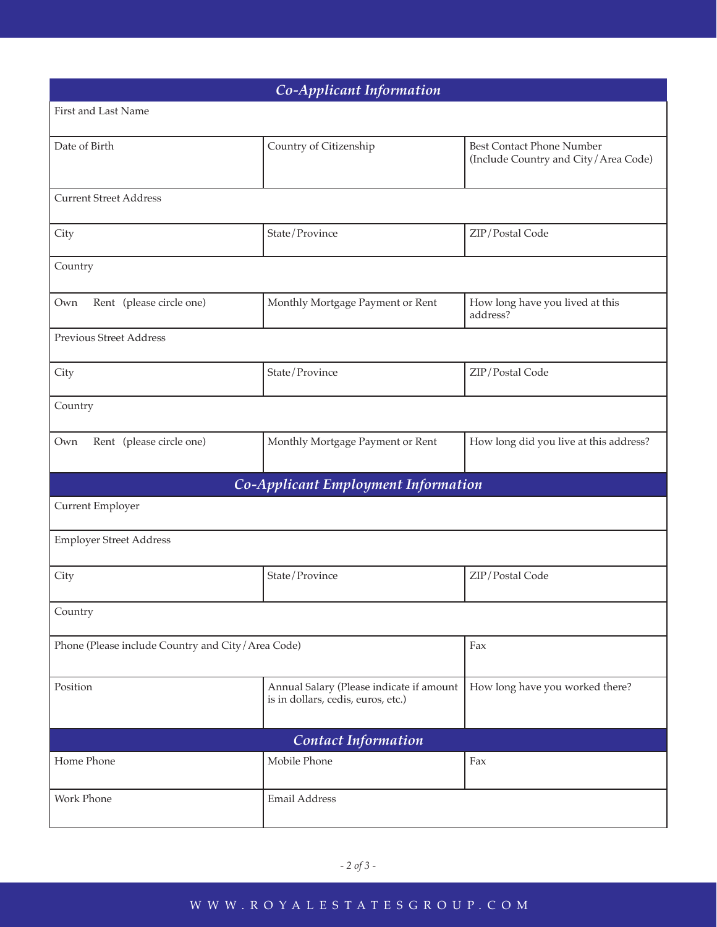| Co-Applicant Information                          |                                                                                |                                                                          |  |  |
|---------------------------------------------------|--------------------------------------------------------------------------------|--------------------------------------------------------------------------|--|--|
| First and Last Name                               |                                                                                |                                                                          |  |  |
| Date of Birth                                     | Country of Citizenship                                                         | <b>Best Contact Phone Number</b><br>(Include Country and City/Area Code) |  |  |
| <b>Current Street Address</b>                     |                                                                                |                                                                          |  |  |
| City                                              | State/Province                                                                 | ZIP/Postal Code                                                          |  |  |
| Country                                           |                                                                                |                                                                          |  |  |
| Rent (please circle one)<br>Own                   | Monthly Mortgage Payment or Rent                                               | How long have you lived at this<br>address?                              |  |  |
| <b>Previous Street Address</b>                    |                                                                                |                                                                          |  |  |
| City                                              | State/Province                                                                 | ZIP/Postal Code                                                          |  |  |
| Country                                           |                                                                                |                                                                          |  |  |
| Rent (please circle one)<br>Own                   | Monthly Mortgage Payment or Rent                                               | How long did you live at this address?                                   |  |  |
|                                                   | Co-Applicant Employment Information                                            |                                                                          |  |  |
| Current Employer                                  |                                                                                |                                                                          |  |  |
| <b>Employer Street Address</b>                    |                                                                                |                                                                          |  |  |
| City                                              | State/Province                                                                 | ZIP/Postal Code                                                          |  |  |
| Country                                           |                                                                                |                                                                          |  |  |
| Phone (Please include Country and City/Area Code) |                                                                                | Fax                                                                      |  |  |
| Position                                          | Annual Salary (Please indicate if amount<br>is in dollars, cedis, euros, etc.) | How long have you worked there?                                          |  |  |
| <b>Contact Information</b>                        |                                                                                |                                                                          |  |  |
| Home Phone                                        | Mobile Phone                                                                   | Fax                                                                      |  |  |
| Work Phone                                        | Email Address                                                                  |                                                                          |  |  |